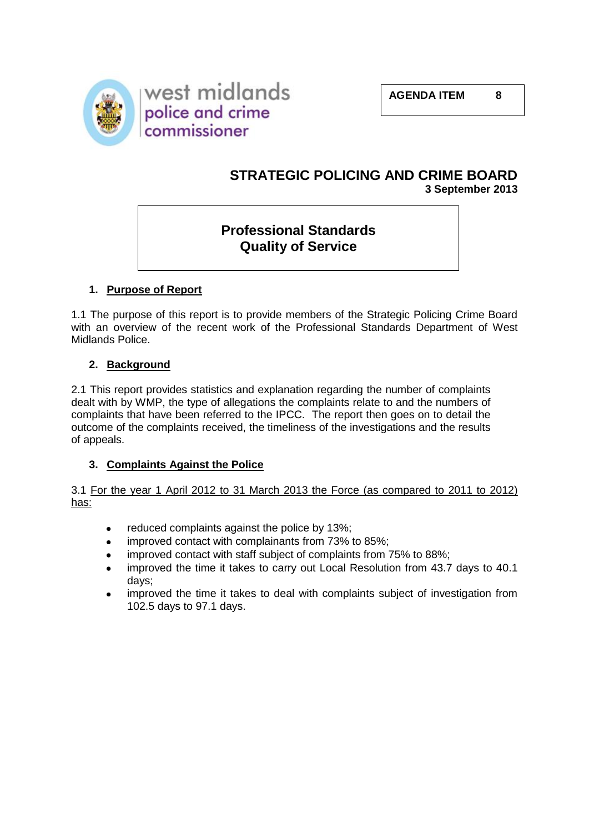



## **STRATEGIC POLICING AND CRIME BOARD 3 September 2013**

# **Professional Standards Quality of Service**

### **1. Purpose of Report**

1.1 The purpose of this report is to provide members of the Strategic Policing Crime Board with an overview of the recent work of the Professional Standards Department of West Midlands Police.

### **2. Background**

2.1 This report provides statistics and explanation regarding the number of complaints dealt with by WMP, the type of allegations the complaints relate to and the numbers of complaints that have been referred to the IPCC. The report then goes on to detail the outcome of the complaints received, the timeliness of the investigations and the results of appeals.

### **3. Complaints Against the Police**

3.1 For the year 1 April 2012 to 31 March 2013 the Force (as compared to 2011 to 2012) has:

- reduced complaints against the police by 13%;
- improved contact with complainants from 73% to 85%;
- improved contact with staff subject of complaints from 75% to 88%;
- improved the time it takes to carry out Local Resolution from 43.7 days to 40.1 days;
- improved the time it takes to deal with complaints subject of investigation from 102.5 days to 97.1 days.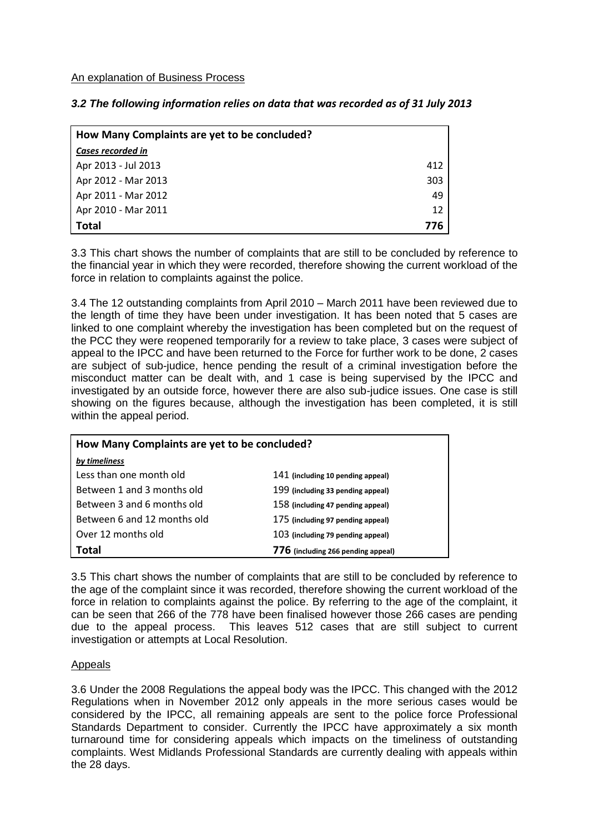An explanation of Business Process

| How Many Complaints are yet to be concluded? |     |
|----------------------------------------------|-----|
| Cases recorded in                            |     |
| Apr 2013 - Jul 2013                          | 412 |
| Apr 2012 - Mar 2013                          | 303 |
| Apr 2011 - Mar 2012                          | 49  |
| Apr 2010 - Mar 2011                          | 12  |
| <b>Total</b>                                 | 776 |

3.3 This chart shows the number of complaints that are still to be concluded by reference to the financial year in which they were recorded, therefore showing the current workload of the force in relation to complaints against the police.

3.4 The 12 outstanding complaints from April 2010 – March 2011 have been reviewed due to the length of time they have been under investigation. It has been noted that 5 cases are linked to one complaint whereby the investigation has been completed but on the request of the PCC they were reopened temporarily for a review to take place, 3 cases were subject of appeal to the IPCC and have been returned to the Force for further work to be done, 2 cases are subject of sub-judice, hence pending the result of a criminal investigation before the misconduct matter can be dealt with, and 1 case is being supervised by the IPCC and investigated by an outside force, however there are also sub-judice issues. One case is still showing on the figures because, although the investigation has been completed, it is still within the appeal period.

| How Many Complaints are yet to be concluded? |                                    |  |
|----------------------------------------------|------------------------------------|--|
| by timeliness                                |                                    |  |
| Less than one month old                      | 141 (including 10 pending appeal)  |  |
| Between 1 and 3 months old                   | 199 (including 33 pending appeal)  |  |
| Between 3 and 6 months old                   | 158 (including 47 pending appeal)  |  |
| Between 6 and 12 months old                  | 175 (including 97 pending appeal)  |  |
| Over 12 months old                           | 103 (including 79 pending appeal)  |  |
| Total                                        | 776 (including 266 pending appeal) |  |

3.5 This chart shows the number of complaints that are still to be concluded by reference to the age of the complaint since it was recorded, therefore showing the current workload of the force in relation to complaints against the police. By referring to the age of the complaint, it can be seen that 266 of the 778 have been finalised however those 266 cases are pending due to the appeal process. This leaves 512 cases that are still subject to current investigation or attempts at Local Resolution.

### Appeals

3.6 Under the 2008 Regulations the appeal body was the IPCC. This changed with the 2012 Regulations when in November 2012 only appeals in the more serious cases would be considered by the IPCC, all remaining appeals are sent to the police force Professional Standards Department to consider. Currently the IPCC have approximately a six month turnaround time for considering appeals which impacts on the timeliness of outstanding complaints. West Midlands Professional Standards are currently dealing with appeals within the 28 days.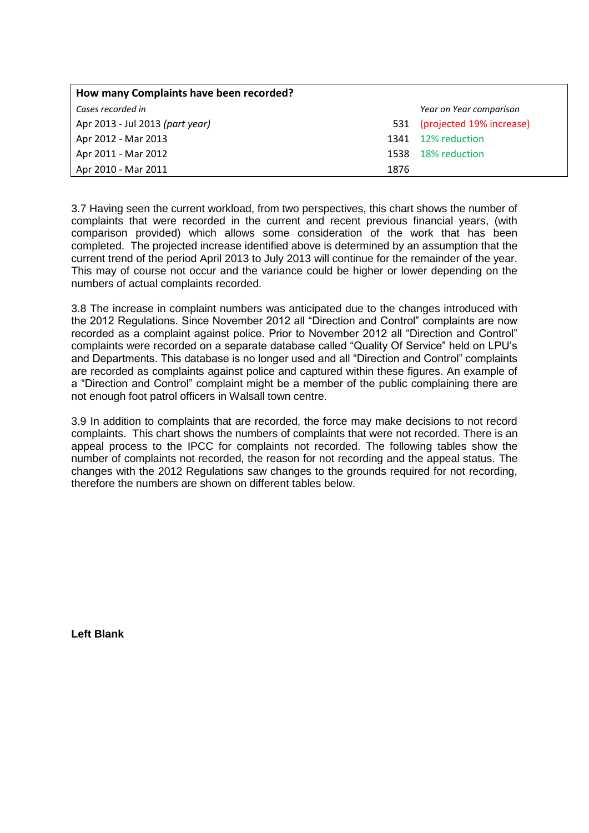| How many Complaints have been recorded? |      |                          |
|-----------------------------------------|------|--------------------------|
| Cases recorded in                       |      | Year on Year comparison  |
| Apr 2013 - Jul 2013 (part year)         | 531  | (projected 19% increase) |
| Apr 2012 - Mar 2013                     |      | 1341 12% reduction       |
| Apr 2011 - Mar 2012                     | 1538 | 18% reduction            |
| Apr 2010 - Mar 2011                     | 1876 |                          |

3.7 Having seen the current workload, from two perspectives, this chart shows the number of complaints that were recorded in the current and recent previous financial years, (with comparison provided) which allows some consideration of the work that has been completed. The projected increase identified above is determined by an assumption that the current trend of the period April 2013 to July 2013 will continue for the remainder of the year. This may of course not occur and the variance could be higher or lower depending on the numbers of actual complaints recorded.

3.8 The increase in complaint numbers was anticipated due to the changes introduced with the 2012 Regulations. Since November 2012 all "Direction and Control" complaints are now recorded as a complaint against police. Prior to November 2012 all "Direction and Control" complaints were recorded on a separate database called "Quality Of Service" held on LPU's and Departments. This database is no longer used and all "Direction and Control" complaints are recorded as complaints against police and captured within these figures. An example of a "Direction and Control" complaint might be a member of the public complaining there are not enough foot patrol officers in Walsall town centre.

3.9 In addition to complaints that are recorded, the force may make decisions to not record complaints. This chart shows the numbers of complaints that were not recorded. There is an appeal process to the IPCC for complaints not recorded. The following tables show the number of complaints not recorded, the reason for not recording and the appeal status. The changes with the 2012 Regulations saw changes to the grounds required for not recording, therefore the numbers are shown on different tables below.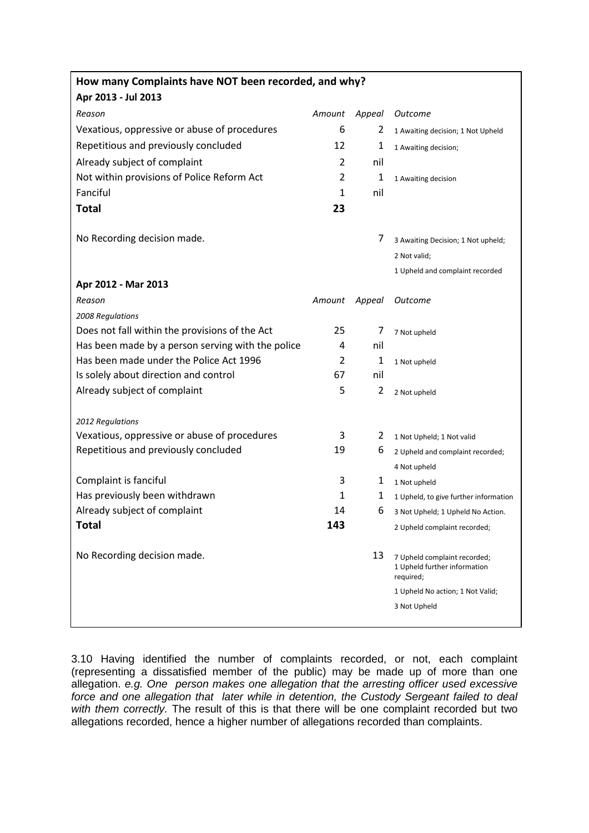| How many Complaints have NOT been recorded, and why? |              |        |                                                                           |
|------------------------------------------------------|--------------|--------|---------------------------------------------------------------------------|
| Apr 2013 - Jul 2013                                  |              |        |                                                                           |
| Reason                                               | Amount       | Appeal | Outcome                                                                   |
| Vexatious, oppressive or abuse of procedures         | 6            | 2      | 1 Awaiting decision; 1 Not Upheld                                         |
| Repetitious and previously concluded                 | 12           | 1      | 1 Awaiting decision;                                                      |
| Already subject of complaint                         | 2            | nil    |                                                                           |
| Not within provisions of Police Reform Act           | 2            | 1      | 1 Awaiting decision                                                       |
| Fanciful                                             | $\mathbf{1}$ | nil    |                                                                           |
| <b>Total</b>                                         | 23           |        |                                                                           |
| No Recording decision made.                          |              | 7      | 3 Awaiting Decision; 1 Not upheld;                                        |
|                                                      |              |        | 2 Not valid;                                                              |
|                                                      |              |        | 1 Upheld and complaint recorded                                           |
| Apr 2012 - Mar 2013                                  |              |        |                                                                           |
| Reason                                               | Amount       | Appeal | Outcome                                                                   |
| 2008 Regulations                                     |              |        |                                                                           |
| Does not fall within the provisions of the Act       | 25           | 7      | 7 Not upheld                                                              |
| Has been made by a person serving with the police    | 4            | nil    |                                                                           |
| Has been made under the Police Act 1996              | 2            | 1      | 1 Not upheld                                                              |
| Is solely about direction and control                | 67           | nil    |                                                                           |
| Already subject of complaint                         | 5            | 2      | 2 Not upheld                                                              |
| 2012 Regulations                                     |              |        |                                                                           |
| Vexatious, oppressive or abuse of procedures         | 3            | 2      | 1 Not Upheld; 1 Not valid                                                 |
| Repetitious and previously concluded                 | 19           | 6      | 2 Upheld and complaint recorded;                                          |
|                                                      |              |        | 4 Not upheld                                                              |
| Complaint is fanciful                                | 3            | 1      | 1 Not upheld                                                              |
| Has previously been withdrawn                        | $\mathbf{1}$ | 1      | 1 Upheld, to give further information                                     |
| Already subject of complaint                         | 14           | 6      | 3 Not Upheld; 1 Upheld No Action.                                         |
| Total                                                | 143          |        | 2 Upheld complaint recorded;                                              |
| No Recording decision made.                          |              | 13     | 7 Upheld complaint recorded;<br>1 Upheld further information<br>required; |
|                                                      |              |        | 1 Upheld No action; 1 Not Valid;                                          |
|                                                      |              |        | 3 Not Upheld                                                              |
|                                                      |              |        |                                                                           |

3.10 Having identified the number of complaints recorded, or not, each complaint (representing a dissatisfied member of the public) may be made up of more than one allegation. *e.g. One person makes one allegation that the arresting officer used excessive force and one allegation that later while in detention, the Custody Sergeant failed to deal*  with them correctly. The result of this is that there will be one complaint recorded but two allegations recorded, hence a higher number of allegations recorded than complaints.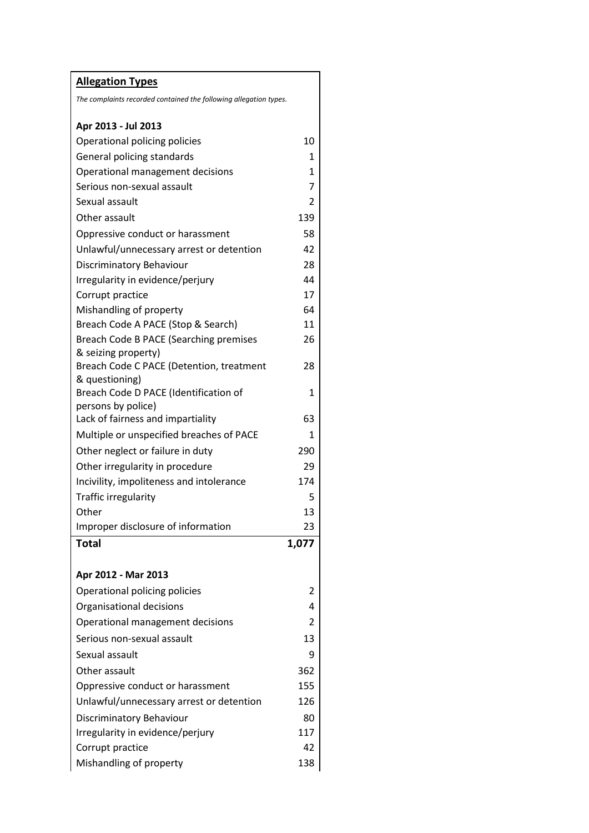| <b>Allegation Types</b>                                                           |       |
|-----------------------------------------------------------------------------------|-------|
| The complaints recorded contained the following allegation types.                 |       |
| Apr 2013 - Jul 2013                                                               |       |
| Operational policing policies                                                     | 10    |
| General policing standards                                                        | 1     |
| Operational management decisions                                                  | 1     |
| Serious non-sexual assault                                                        | 7     |
| Sexual assault                                                                    | 2     |
| Other assault                                                                     | 139   |
| Oppressive conduct or harassment                                                  | 58    |
| Unlawful/unnecessary arrest or detention                                          | 42    |
| Discriminatory Behaviour                                                          | 28    |
| Irregularity in evidence/perjury                                                  | 44    |
| Corrupt practice                                                                  | 17    |
| Mishandling of property                                                           | 64    |
| Breach Code A PACE (Stop & Search)                                                | 11    |
| <b>Breach Code B PACE (Searching premises</b>                                     | 26    |
| & seizing property)<br>Breach Code C PACE (Detention, treatment<br>& questioning) | 28    |
| Breach Code D PACE (Identification of<br>persons by police)                       | 1     |
| Lack of fairness and impartiality                                                 | 63    |
| Multiple or unspecified breaches of PACE                                          | 1     |
| Other neglect or failure in duty                                                  | 290   |
| Other irregularity in procedure                                                   | 29    |
| Incivility, impoliteness and intolerance                                          | 174   |
| Traffic irregularity                                                              | 5.    |
| Other                                                                             | 13    |
| Improper disclosure of information                                                | 23    |
| <b>Total</b>                                                                      | 1,077 |
| Apr 2012 - Mar 2013                                                               |       |
| Operational policing policies                                                     | 2     |
| Organisational decisions                                                          | 4     |
| Operational management decisions                                                  | 2     |
| Serious non-sexual assault                                                        | 13    |
| Sexual assault                                                                    | 9     |
| Other assault                                                                     | 362   |
| Oppressive conduct or harassment                                                  | 155   |
| Unlawful/unnecessary arrest or detention                                          | 126   |
| Discriminatory Behaviour                                                          | 80    |
| Irregularity in evidence/perjury                                                  | 117   |
| Corrupt practice                                                                  | 42    |
| Mishandling of property                                                           | 138   |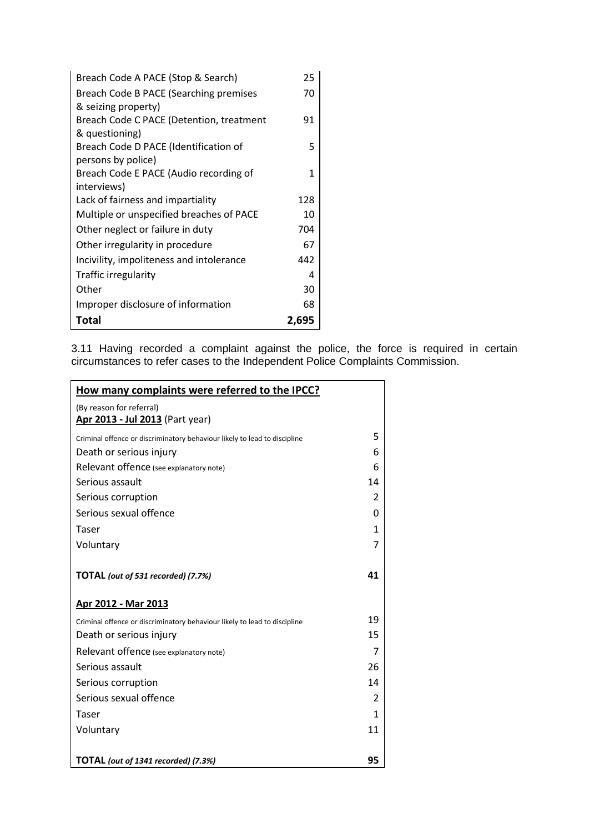| Breach Code A PACE (Stop & Search)       | 25    |
|------------------------------------------|-------|
| Breach Code B PACE (Searching premises   | 70    |
| & seizing property)                      |       |
| Breach Code C PACE (Detention, treatment | 91    |
| & questioning)                           |       |
| Breach Code D PACE (Identification of    | 5     |
| persons by police)                       |       |
| Breach Code E PACE (Audio recording of   | 1     |
| interviews)                              |       |
| Lack of fairness and impartiality        | 128   |
| Multiple or unspecified breaches of PACE | 10    |
| Other neglect or failure in duty         | 704   |
| Other irregularity in procedure          | 67    |
| Incivility, impoliteness and intolerance | 442   |
| Traffic irregularity                     | 4     |
| Other                                    | 30    |
| Improper disclosure of information       | 68    |
| Total                                    | 2,695 |

3.11 Having recorded a complaint against the police, the force is required in certain circumstances to refer cases to the Independent Police Complaints Commission.

| How many complaints were referred to the IPCC?                            |              |  |
|---------------------------------------------------------------------------|--------------|--|
| (By reason for referral)<br>Apr 2013 - Jul 2013 (Part year)               |              |  |
| Criminal offence or discriminatory behaviour likely to lead to discipline | 5            |  |
| Death or serious injury                                                   | 6            |  |
| Relevant offence (see explanatory note)                                   | 6            |  |
| Serious assault                                                           | 14           |  |
| Serious corruption                                                        | 2            |  |
| Serious sexual offence                                                    | 0            |  |
| Taser                                                                     | $\mathbf{1}$ |  |
| Voluntary                                                                 | 7            |  |
| TOTAL (out of 531 recorded) (7.7%)                                        | 41           |  |
| <u> Apr 2012 - Mar 2013</u>                                               |              |  |
| Criminal offence or discriminatory behaviour likely to lead to discipline | 19           |  |
| Death or serious injury                                                   | 15           |  |
| Relevant offence (see explanatory note)                                   | 7            |  |
| Serious assault                                                           | 26           |  |
| Serious corruption                                                        | 14           |  |
| Serious sexual offence                                                    | 2            |  |
| Taser                                                                     | 1            |  |
| Voluntary                                                                 | 11           |  |
|                                                                           |              |  |
| TOTAL (out of 1341 recorded) (7.3%)                                       | 95           |  |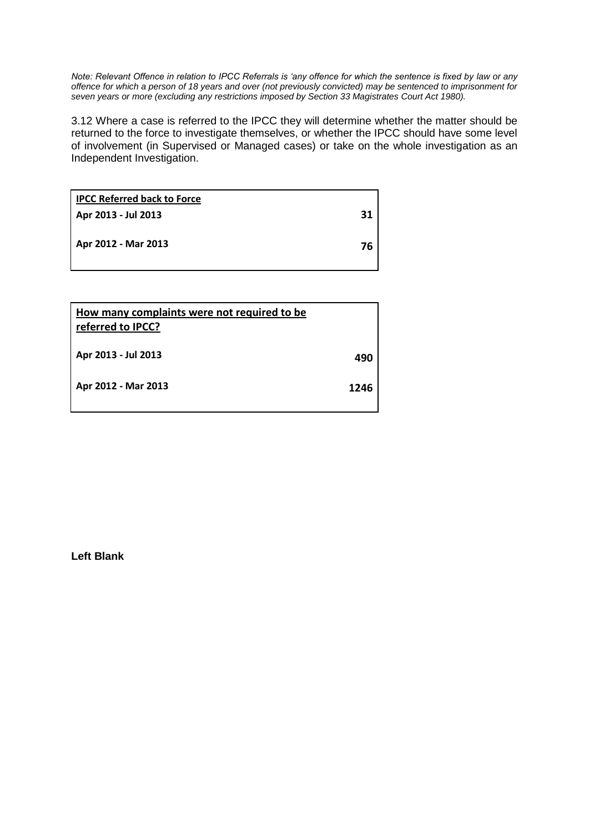*Note: Relevant Offence in relation to IPCC Referrals is 'any offence for which the sentence is fixed by law or any offence for which a person of 18 years and over (not previously convicted) may be sentenced to imprisonment for seven years or more (excluding any restrictions imposed by Section 33 Magistrates Court Act 1980).* 

3.12 Where a case is referred to the IPCC they will determine whether the matter should be returned to the force to investigate themselves, or whether the IPCC should have some level of involvement (in Supervised or Managed cases) or take on the whole investigation as an Independent Investigation.

| <b>IPCC Referred back to Force</b> |    |
|------------------------------------|----|
| Apr 2013 - Jul 2013                | 31 |
| Apr 2012 - Mar 2013                | 76 |
|                                    |    |

| How many complaints were not required to be<br>referred to IPCC? |      |
|------------------------------------------------------------------|------|
| Apr 2013 - Jul 2013                                              | 490  |
| Apr 2012 - Mar 2013                                              | 1246 |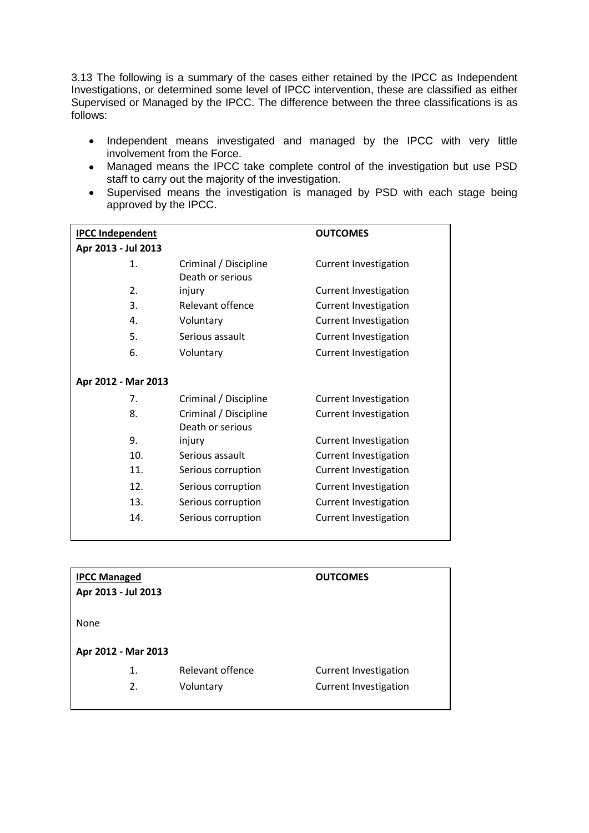3.13 The following is a summary of the cases either retained by the IPCC as Independent Investigations, or determined some level of IPCC intervention, these are classified as either Supervised or Managed by the IPCC. The difference between the three classifications is as follows:

- Independent means investigated and managed by the IPCC with very little involvement from the Force.
- Managed means the IPCC take complete control of the investigation but use PSD staff to carry out the majority of the investigation.
- Supervised means the investigation is managed by PSD with each stage being approved by the IPCC.

| <b>IPCC Independent</b> |                                           | <b>OUTCOMES</b>              |
|-------------------------|-------------------------------------------|------------------------------|
| Apr 2013 - Jul 2013     |                                           |                              |
| 1.                      | Criminal / Discipline<br>Death or serious | <b>Current Investigation</b> |
| 2.                      | injury                                    | <b>Current Investigation</b> |
| 3.                      | Relevant offence                          | <b>Current Investigation</b> |
| 4.                      | Voluntary                                 | <b>Current Investigation</b> |
| 5.                      | Serious assault                           | <b>Current Investigation</b> |
| 6.                      | Voluntary                                 | <b>Current Investigation</b> |
| Apr 2012 - Mar 2013     |                                           |                              |
| 7.                      | Criminal / Discipline                     | <b>Current Investigation</b> |
| 8.                      | Criminal / Discipline<br>Death or serious | <b>Current Investigation</b> |
| 9.                      | injury                                    | <b>Current Investigation</b> |
| 10.                     | Serious assault                           | <b>Current Investigation</b> |
| 11.                     | Serious corruption                        | <b>Current Investigation</b> |
| 12.                     | Serious corruption                        | <b>Current Investigation</b> |
| 13.                     | Serious corruption                        | <b>Current Investigation</b> |
| 14.                     | Serious corruption                        | <b>Current Investigation</b> |

| <b>IPCC Managed</b><br>Apr 2013 - Jul 2013 |                  | <b>OUTCOMES</b>              |
|--------------------------------------------|------------------|------------------------------|
| None                                       |                  |                              |
| Apr 2012 - Mar 2013                        |                  |                              |
| 1.                                         | Relevant offence | <b>Current Investigation</b> |
| 2.                                         | Voluntary        | <b>Current Investigation</b> |
|                                            |                  |                              |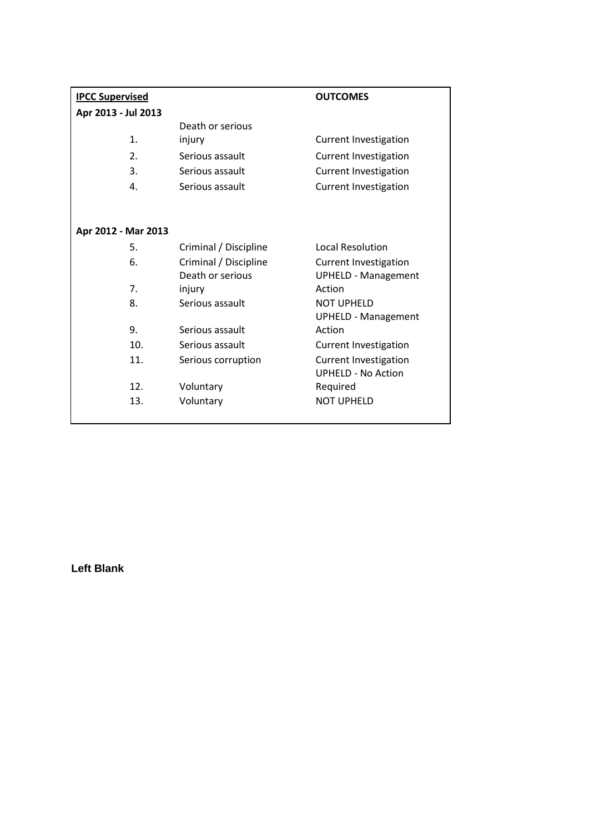| <b>IPCC Supervised</b> |                       | <b>OUTCOMES</b>              |
|------------------------|-----------------------|------------------------------|
| Apr 2013 - Jul 2013    |                       |                              |
|                        | Death or serious      |                              |
| 1.                     | injury                | <b>Current Investigation</b> |
| 2.                     | Serious assault       | <b>Current Investigation</b> |
| 3.                     | Serious assault       | <b>Current Investigation</b> |
| 4.                     | Serious assault       | <b>Current Investigation</b> |
|                        |                       |                              |
|                        |                       |                              |
| Apr 2012 - Mar 2013    |                       |                              |
| 5.                     | Criminal / Discipline | <b>Local Resolution</b>      |
| 6.                     | Criminal / Discipline | <b>Current Investigation</b> |
|                        | Death or serious      | <b>UPHELD - Management</b>   |
| 7.                     | injury                | Action                       |
| 8.                     | Serious assault       | <b>NOT UPHELD</b>            |
|                        |                       | <b>UPHELD - Management</b>   |
| 9.                     | Serious assault       | Action                       |
| 10.                    | Serious assault       | <b>Current Investigation</b> |
| 11.                    | Serious corruption    | <b>Current Investigation</b> |
|                        |                       | <b>UPHELD - No Action</b>    |
| 12.                    | Voluntary             | Required                     |
| 13.                    | Voluntary             | <b>NOT UPHELD</b>            |
|                        |                       |                              |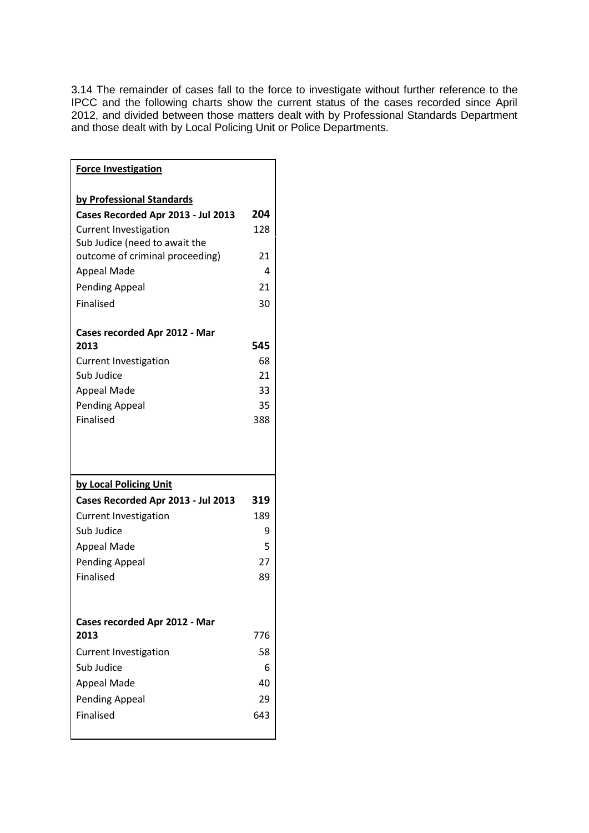3.14 The remainder of cases fall to the force to investigate without further reference to the IPCC and the following charts show the current status of the cases recorded since April 2012, and divided between those matters dealt with by Professional Standards Department and those dealt with by Local Policing Unit or Police Departments.

| <b>Force Investigation</b>                                       |     |
|------------------------------------------------------------------|-----|
|                                                                  |     |
| by Professional Standards                                        |     |
| Cases Recorded Apr 2013 - Jul 2013                               | 204 |
| <b>Current Investigation</b>                                     | 128 |
| Sub Judice (need to await the<br>outcome of criminal proceeding) | 21  |
| <b>Appeal Made</b>                                               | 4   |
| <b>Pending Appeal</b>                                            | 21  |
| <b>Finalised</b>                                                 | 30  |
|                                                                  |     |
| Cases recorded Apr 2012 - Mar                                    |     |
| 2013                                                             | 545 |
| <b>Current Investigation</b>                                     | 68  |
| Sub Judice                                                       | 21  |
| Appeal Made                                                      | 33  |
| <b>Pending Appeal</b>                                            | 35  |
| Finalised                                                        | 388 |
|                                                                  |     |
|                                                                  |     |
|                                                                  |     |
| by Local Policing Unit                                           |     |
| Cases Recorded Apr 2013 - Jul 2013                               | 319 |
| <b>Current Investigation</b>                                     | 189 |
| Sub Judice                                                       | 9   |
| <b>Appeal Made</b>                                               | 5   |
| Pending Appeal                                                   | 27  |
| Finalised                                                        | 89  |
|                                                                  |     |
|                                                                  |     |
| Cases recorded Apr 2012 - Mar                                    |     |
| 2013                                                             | 776 |
| <b>Current Investigation</b>                                     | 58  |
| Sub Judice                                                       | 6   |
| <b>Appeal Made</b>                                               | 40  |
| <b>Pending Appeal</b>                                            | 29  |
| Finalised                                                        | 643 |
|                                                                  |     |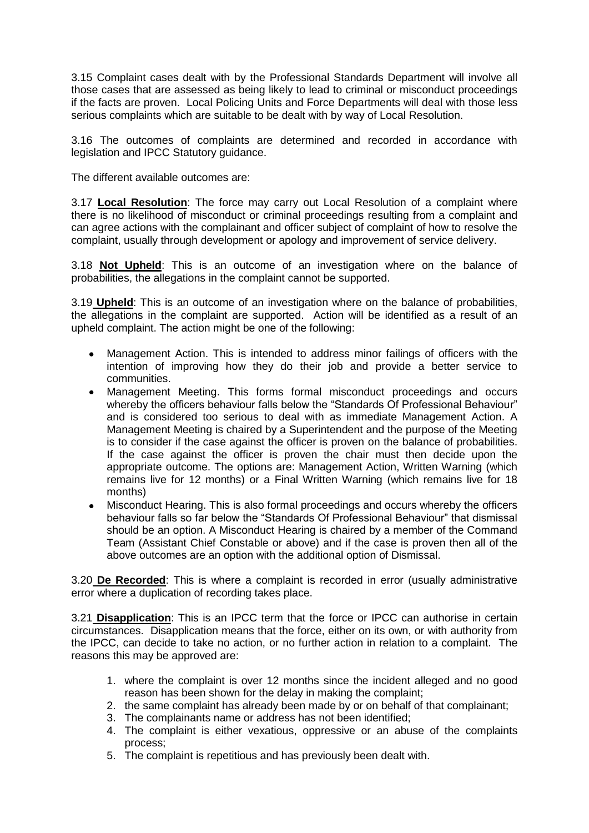3.15 Complaint cases dealt with by the Professional Standards Department will involve all those cases that are assessed as being likely to lead to criminal or misconduct proceedings if the facts are proven. Local Policing Units and Force Departments will deal with those less serious complaints which are suitable to be dealt with by way of Local Resolution.

3.16 The outcomes of complaints are determined and recorded in accordance with legislation and IPCC Statutory guidance.

The different available outcomes are:

3.17 **Local Resolution**: The force may carry out Local Resolution of a complaint where there is no likelihood of misconduct or criminal proceedings resulting from a complaint and can agree actions with the complainant and officer subject of complaint of how to resolve the complaint, usually through development or apology and improvement of service delivery.

3.18 **Not Upheld**: This is an outcome of an investigation where on the balance of probabilities, the allegations in the complaint cannot be supported.

3.19 **Upheld**: This is an outcome of an investigation where on the balance of probabilities, the allegations in the complaint are supported. Action will be identified as a result of an upheld complaint. The action might be one of the following:

- Management Action. This is intended to address minor failings of officers with the  $\bullet$ intention of improving how they do their job and provide a better service to communities.
- Management Meeting. This forms formal misconduct proceedings and occurs  $\bullet$ whereby the officers behaviour falls below the "Standards Of Professional Behaviour" and is considered too serious to deal with as immediate Management Action. A Management Meeting is chaired by a Superintendent and the purpose of the Meeting is to consider if the case against the officer is proven on the balance of probabilities. If the case against the officer is proven the chair must then decide upon the appropriate outcome. The options are: Management Action, Written Warning (which remains live for 12 months) or a Final Written Warning (which remains live for 18 months)
- $\bullet$ Misconduct Hearing. This is also formal proceedings and occurs whereby the officers behaviour falls so far below the "Standards Of Professional Behaviour" that dismissal should be an option. A Misconduct Hearing is chaired by a member of the Command Team (Assistant Chief Constable or above) and if the case is proven then all of the above outcomes are an option with the additional option of Dismissal.

3.20 **De Recorded**: This is where a complaint is recorded in error (usually administrative error where a duplication of recording takes place.

3.21 **Disapplication**: This is an IPCC term that the force or IPCC can authorise in certain circumstances. Disapplication means that the force, either on its own, or with authority from the IPCC, can decide to take no action, or no further action in relation to a complaint. The reasons this may be approved are:

- 1. where the complaint is over 12 months since the incident alleged and no good reason has been shown for the delay in making the complaint;
- 2. the same complaint has already been made by or on behalf of that complainant;
- 3. The complainants name or address has not been identified;
- 4. The complaint is either vexatious, oppressive or an abuse of the complaints process;
- 5. The complaint is repetitious and has previously been dealt with.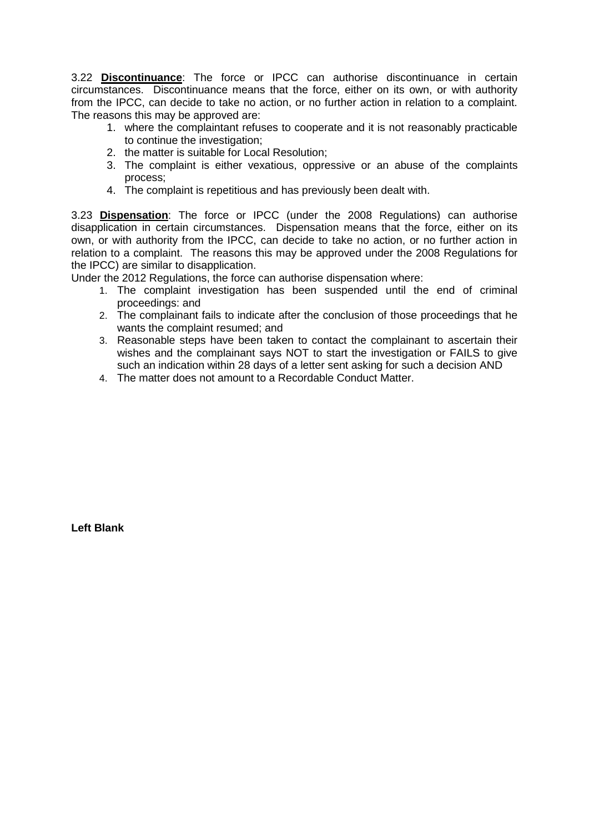3.22 **Discontinuance**: The force or IPCC can authorise discontinuance in certain circumstances. Discontinuance means that the force, either on its own, or with authority from the IPCC, can decide to take no action, or no further action in relation to a complaint. The reasons this may be approved are:

- 1. where the complaintant refuses to cooperate and it is not reasonably practicable to continue the investigation;
- 2. the matter is suitable for Local Resolution;
- 3. The complaint is either vexatious, oppressive or an abuse of the complaints process;
- 4. The complaint is repetitious and has previously been dealt with.

3.23 **Dispensation**: The force or IPCC (under the 2008 Regulations) can authorise disapplication in certain circumstances. Dispensation means that the force, either on its own, or with authority from the IPCC, can decide to take no action, or no further action in relation to a complaint. The reasons this may be approved under the 2008 Regulations for the IPCC) are similar to disapplication.

Under the 2012 Regulations, the force can authorise dispensation where:

- 1. The complaint investigation has been suspended until the end of criminal proceedings: and
- 2. The complainant fails to indicate after the conclusion of those proceedings that he wants the complaint resumed; and
- 3. Reasonable steps have been taken to contact the complainant to ascertain their wishes and the complainant says NOT to start the investigation or FAILS to give such an indication within 28 days of a letter sent asking for such a decision AND
- 4. The matter does not amount to a Recordable Conduct Matter.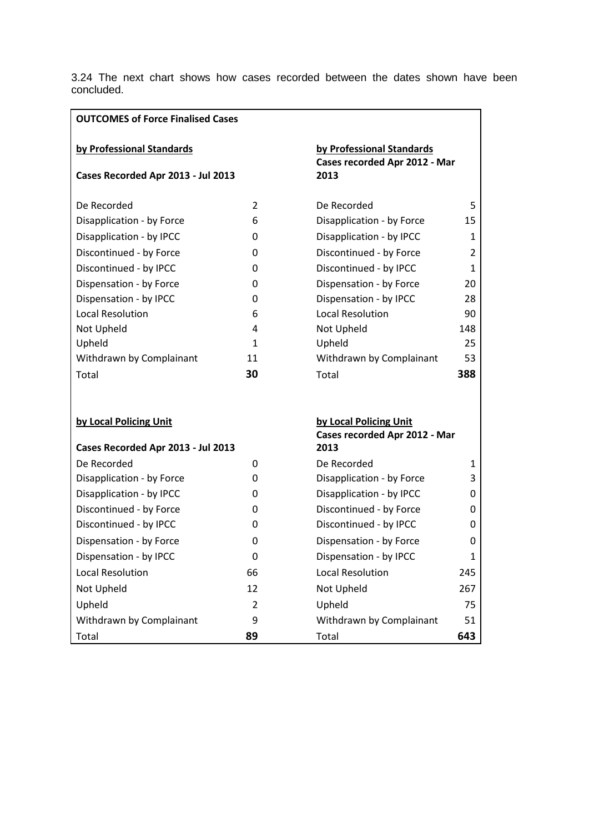3.24 The next chart shows how cases recorded between the dates shown have been concluded.

| <b>OUTCOMES of Force Finalised Cases</b>                        |              |                                                                    |     |
|-----------------------------------------------------------------|--------------|--------------------------------------------------------------------|-----|
| by Professional Standards<br>Cases Recorded Apr 2013 - Jul 2013 |              | by Professional Standards<br>Cases recorded Apr 2012 - Mar<br>2013 |     |
| De Recorded                                                     | 2            | De Recorded                                                        | 5   |
| Disapplication - by Force                                       | 6            | Disapplication - by Force                                          | 15  |
| Disapplication - by IPCC                                        | 0            | Disapplication - by IPCC                                           | 1   |
| Discontinued - by Force                                         | 0            | Discontinued - by Force                                            | 2   |
| Discontinued - by IPCC                                          | 0            | Discontinued - by IPCC                                             | 1   |
| Dispensation - by Force                                         | 0            | Dispensation - by Force                                            | 20  |
| Dispensation - by IPCC                                          | 0            | Dispensation - by IPCC                                             | 28  |
| <b>Local Resolution</b>                                         | 6            | <b>Local Resolution</b>                                            | 90  |
| Not Upheld                                                      | 4            | Not Upheld                                                         | 148 |
| Upheld                                                          | $\mathbf{1}$ | Upheld                                                             | 25  |
| Withdrawn by Complainant                                        | 11           | Withdrawn by Complainant                                           | 53  |
| Total                                                           | 30           | Total                                                              | 388 |
| by Local Policing Unit<br>Cases Recorded Apr 2013 - Jul 2013    |              | by Local Policing Unit<br>Cases recorded Apr 2012 - Mar<br>2013    |     |
| De Recorded                                                     | 0            | De Recorded                                                        | 1   |
| Disapplication - by Force                                       | 0            | Disapplication - by Force                                          | 3   |
| Disapplication - by IPCC                                        | 0            | Disapplication - by IPCC                                           | 0   |
| Discontinued - by Force                                         | 0            | Discontinued - by Force                                            | 0   |
| Discontinued - by IPCC                                          | 0            | Discontinued - by IPCC                                             | 0   |
| Dispensation - by Force                                         | 0            | Dispensation - by Force                                            | 0   |
| Dispensation - by IPCC                                          | 0            | Dispensation - by IPCC                                             | 1   |
| <b>Local Resolution</b>                                         | 66           | <b>Local Resolution</b>                                            | 245 |
| Not Upheld                                                      | 12           | Not Upheld                                                         | 267 |
| Upheld                                                          | 2            | Upheld                                                             | 75  |
| Withdrawn by Complainant                                        | 9            | Withdrawn by Complainant                                           | 51  |
| Total                                                           | 89           | Total                                                              | 643 |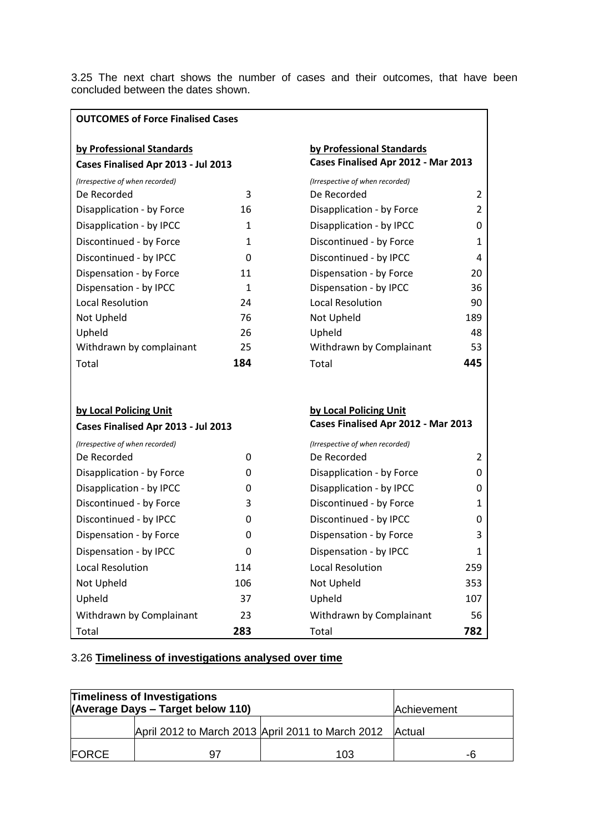3.25 The next chart shows the number of cases and their outcomes, that have been concluded between the dates shown.

| <b>OUTCOMES of Force Finalised Cases</b>                         |              |                                                                  |                |
|------------------------------------------------------------------|--------------|------------------------------------------------------------------|----------------|
| by Professional Standards<br>Cases Finalised Apr 2013 - Jul 2013 |              | by Professional Standards<br>Cases Finalised Apr 2012 - Mar 2013 |                |
| (Irrespective of when recorded)                                  |              | (Irrespective of when recorded)                                  |                |
| De Recorded                                                      | 3            | De Recorded                                                      | 2              |
| Disapplication - by Force                                        | 16           | Disapplication - by Force                                        | 2              |
| Disapplication - by IPCC                                         | 1            | Disapplication - by IPCC                                         | 0              |
| Discontinued - by Force                                          | $\mathbf{1}$ | Discontinued - by Force                                          | 1              |
| Discontinued - by IPCC                                           | 0            | Discontinued - by IPCC                                           | 4              |
| Dispensation - by Force                                          | 11           | Dispensation - by Force                                          | 20             |
| Dispensation - by IPCC                                           | $\mathbf{1}$ | Dispensation - by IPCC                                           | 36             |
| <b>Local Resolution</b>                                          | 24           | <b>Local Resolution</b>                                          | 90             |
| Not Upheld                                                       | 76           | Not Upheld                                                       | 189            |
| Upheld                                                           | 26           | Upheld                                                           | 48             |
| Withdrawn by complainant                                         | 25           | Withdrawn by Complainant                                         | 53             |
| Total                                                            | 184          | Total                                                            | 445            |
| by Local Policing Unit                                           |              | by Local Policing Unit                                           |                |
| Cases Finalised Apr 2013 - Jul 2013                              |              | Cases Finalised Apr 2012 - Mar 2013                              |                |
| (Irrespective of when recorded)                                  |              | (Irrespective of when recorded)                                  |                |
| De Recorded                                                      | 0            | De Recorded                                                      | $\overline{2}$ |
| Disapplication - by Force                                        | 0            | Disapplication - by Force                                        | 0              |
| Disapplication - by IPCC                                         | 0            | Disapplication - by IPCC                                         | 0              |
| Discontinued - by Force                                          | 3            | Discontinued - by Force                                          | 1              |
| Discontinued - by IPCC                                           | 0            | Discontinued - by IPCC                                           | 0              |
| Dispensation - by Force                                          | 0            | Dispensation - by Force                                          | 3              |
| Dispensation - by IPCC                                           | 0            | Dispensation - by IPCC                                           | 1              |
| <b>Local Resolution</b>                                          | 114          | <b>Local Resolution</b>                                          | 259            |
| Not Upheld                                                       | 106          | Not Upheld                                                       | 353            |
| Upheld                                                           | 37           | Upheld                                                           | 107            |
| Withdrawn by Complainant                                         | 23           | Withdrawn by Complainant                                         | 56             |
| Total                                                            | 283          | Total                                                            | 782            |

# 3.26 **Timeliness of investigations analysed over time**

| <b>Timeliness of Investigations</b><br>(Average Days - Target below 110) |                                                   |     | Achievement |
|--------------------------------------------------------------------------|---------------------------------------------------|-----|-------------|
|                                                                          | April 2012 to March 2013 April 2011 to March 2012 |     | Actual      |
| <b>FORCE</b>                                                             |                                                   | 103 | -6          |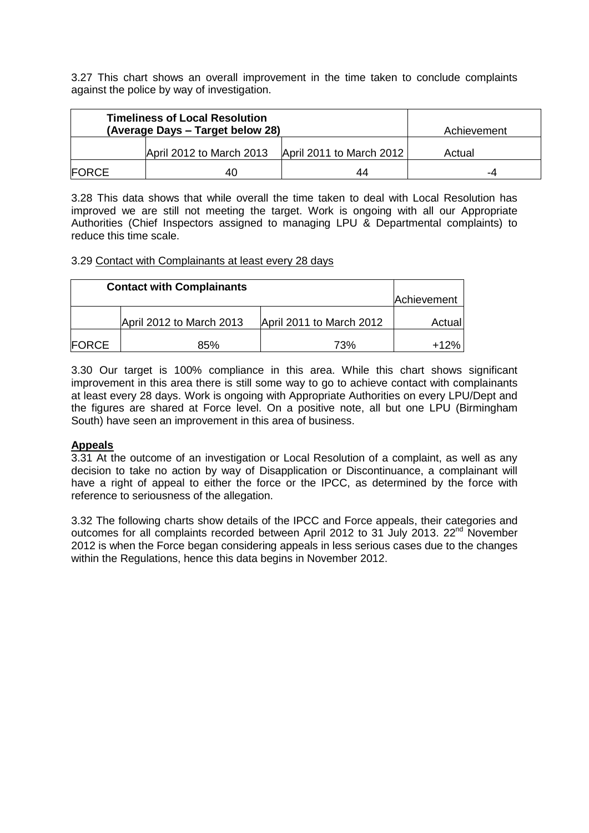3.27 This chart shows an overall improvement in the time taken to conclude complaints against the police by way of investigation.

| <b>Timeliness of Local Resolution</b><br>(Average Days - Target below 28) |                          |                          | Achievement |
|---------------------------------------------------------------------------|--------------------------|--------------------------|-------------|
|                                                                           | April 2012 to March 2013 | April 2011 to March 2012 | Actual      |
| <b>IFORCE</b>                                                             | 40                       | 44                       | -4          |

3.28 This data shows that while overall the time taken to deal with Local Resolution has improved we are still not meeting the target. Work is ongoing with all our Appropriate Authorities (Chief Inspectors assigned to managing LPU & Departmental complaints) to reduce this time scale.

#### 3.29 Contact with Complainants at least every 28 days

|              | <b>Contact with Complainants</b> |                          | Achievement |
|--------------|----------------------------------|--------------------------|-------------|
|              | April 2012 to March 2013         | April 2011 to March 2012 | Actual      |
| <b>FORCE</b> | 85%                              | 73%                      | $+12%$      |

3.30 Our target is 100% compliance in this area. While this chart shows significant improvement in this area there is still some way to go to achieve contact with complainants at least every 28 days. Work is ongoing with Appropriate Authorities on every LPU/Dept and the figures are shared at Force level. On a positive note, all but one LPU (Birmingham South) have seen an improvement in this area of business.

### **Appeals**

3.31 At the outcome of an investigation or Local Resolution of a complaint, as well as any decision to take no action by way of Disapplication or Discontinuance, a complainant will have a right of appeal to either the force or the IPCC, as determined by the force with reference to seriousness of the allegation.

3.32 The following charts show details of the IPCC and Force appeals, their categories and outcomes for all complaints recorded between April 2012 to 31 July 2013. 22<sup>nd</sup> November 2012 is when the Force began considering appeals in less serious cases due to the changes within the Regulations, hence this data begins in November 2012.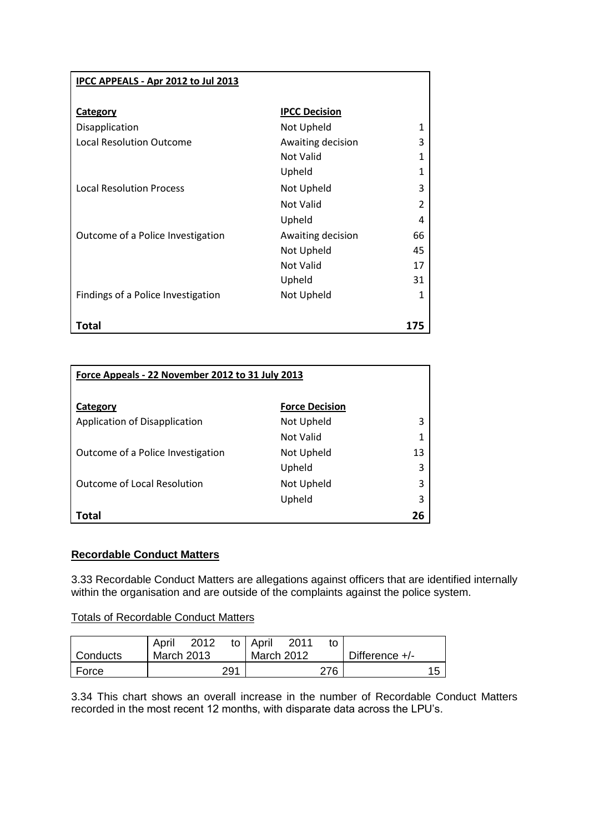| <b>IPCC APPEALS - Apr 2012 to Jul 2013</b> |                      |     |
|--------------------------------------------|----------------------|-----|
| <b>Category</b>                            | <b>IPCC Decision</b> |     |
| Disapplication                             | Not Upheld           |     |
| <b>Local Resolution Outcome</b>            | Awaiting decision    | 3   |
|                                            | Not Valid            | 1   |
|                                            | Upheld               |     |
| <b>Local Resolution Process</b>            | Not Upheld           | 3   |
|                                            | Not Valid            | 2   |
|                                            | Upheld               | 4   |
| Outcome of a Police Investigation          | Awaiting decision    | 66  |
|                                            | Not Upheld           | 45  |
|                                            | Not Valid            | 17  |
|                                            | Upheld               | 31  |
| Findings of a Police Investigation         | Not Upheld           | 1   |
|                                            |                      |     |
| Total                                      |                      | 175 |

| Force Appeals - 22 November 2012 to 31 July 2013 |                       |    |
|--------------------------------------------------|-----------------------|----|
| Category                                         | <b>Force Decision</b> |    |
| Application of Disapplication                    | Not Upheld            | 3  |
|                                                  | Not Valid             |    |
| Outcome of a Police Investigation                | Not Upheld            | 13 |
|                                                  | Upheld                | 3  |
| <b>Outcome of Local Resolution</b>               | Not Upheld            | 3  |
|                                                  | Upheld                | 3  |
| Total                                            |                       | 26 |

### **Recordable Conduct Matters**

3.33 Recordable Conduct Matters are allegations against officers that are identified internally within the organisation and are outside of the complaints against the police system.

Totals of Recordable Conduct Matters

|            | April<br>2012 |     | to   April        | 2011 | t٥  |                |  |
|------------|---------------|-----|-------------------|------|-----|----------------|--|
| l Conducts | March 2013    |     | <b>March 2012</b> |      |     | Difference +/- |  |
| ∣ Force    |               | 291 |                   |      | 276 |                |  |

3.34 This chart shows an overall increase in the number of Recordable Conduct Matters recorded in the most recent 12 months, with disparate data across the LPU's.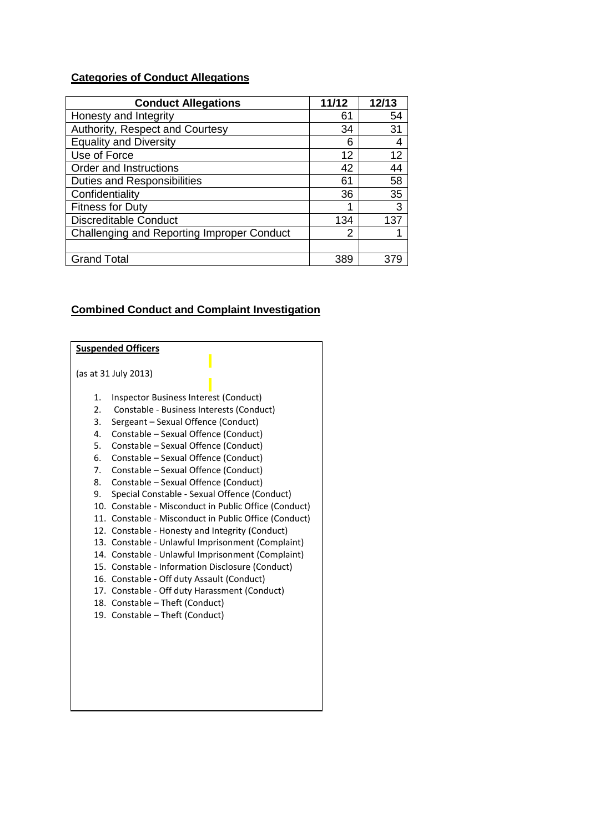# **Categories of Conduct Allegations**

| <b>Conduct Allegations</b>                 | 11/12 | 12/13 |
|--------------------------------------------|-------|-------|
| Honesty and Integrity                      | 61    | 54    |
| Authority, Respect and Courtesy            | 34    | 31    |
| <b>Equality and Diversity</b>              | 6     | 4     |
| Use of Force                               | 12    | 12    |
| Order and Instructions                     | 42    | 44    |
| <b>Duties and Responsibilities</b>         | 61    | 58    |
| Confidentiality                            | 36    | 35    |
| <b>Fitness for Duty</b>                    |       | 3     |
| <b>Discreditable Conduct</b>               | 134   | 137   |
| Challenging and Reporting Improper Conduct | 2     |       |
|                                            |       |       |
| <b>Grand Total</b>                         | 389   |       |

### **Combined Conduct and Complaint Investigation**

|    | <b>Suspended Officers</b>                             |
|----|-------------------------------------------------------|
|    |                                                       |
|    | (as at 31 July 2013)                                  |
|    |                                                       |
| 1. | Inspector Business Interest (Conduct)                 |
| 2. | Constable - Business Interests (Conduct)              |
| 3. | Sergeant - Sexual Offence (Conduct)                   |
| 4. | Constable - Sexual Offence (Conduct)                  |
| 5. | Constable – Sexual Offence (Conduct)                  |
| 6. | Constable - Sexual Offence (Conduct)                  |
|    | 7. Constable – Sexual Offence (Conduct)               |
| 8. | Constable – Sexual Offence (Conduct)                  |
| 9. | Special Constable - Sexual Offence (Conduct)          |
|    | 10. Constable - Misconduct in Public Office (Conduct) |
|    | 11. Constable - Misconduct in Public Office (Conduct) |
|    | 12. Constable - Honesty and Integrity (Conduct)       |
|    | 13. Constable - Unlawful Imprisonment (Complaint)     |
|    | 14. Constable - Unlawful Imprisonment (Complaint)     |
|    | 15. Constable - Information Disclosure (Conduct)      |
|    | 16. Constable - Off duty Assault (Conduct)            |
|    | 17. Constable - Off duty Harassment (Conduct)         |
|    | 18. Constable - Theft (Conduct)                       |
|    | 19. Constable – Theft (Conduct)                       |
|    |                                                       |
|    |                                                       |
|    |                                                       |
|    |                                                       |
|    |                                                       |
|    |                                                       |
|    |                                                       |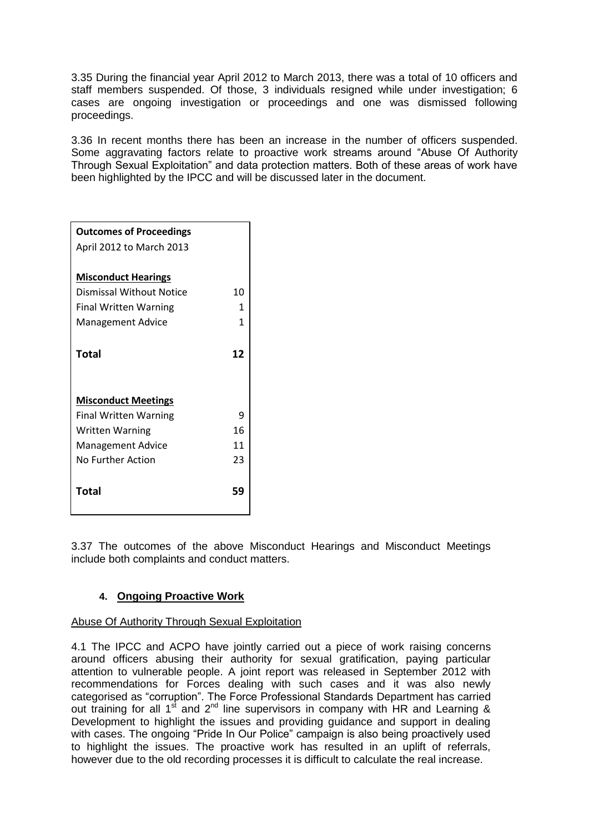3.35 During the financial year April 2012 to March 2013, there was a total of 10 officers and staff members suspended. Of those, 3 individuals resigned while under investigation; 6 cases are ongoing investigation or proceedings and one was dismissed following proceedings.

3.36 In recent months there has been an increase in the number of officers suspended. Some aggravating factors relate to proactive work streams around "Abuse Of Authority Through Sexual Exploitation" and data protection matters. Both of these areas of work have been highlighted by the IPCC and will be discussed later in the document.

| <b>Outcomes of Proceedings</b> |    |
|--------------------------------|----|
| April 2012 to March 2013       |    |
|                                |    |
| <b>Misconduct Hearings</b>     |    |
| Dismissal Without Notice       | 10 |
| <b>Final Written Warning</b>   | 1  |
| <b>Management Advice</b>       | 1  |
|                                |    |
| Total                          | 12 |
|                                |    |
|                                |    |
| <b>Misconduct Meetings</b>     |    |
| <b>Final Written Warning</b>   | ٩  |
| <b>Written Warning</b>         | 16 |
| <b>Management Advice</b>       | 11 |
| No Further Action              | 23 |
|                                |    |
| Total                          | 59 |
|                                |    |

3.37 The outcomes of the above Misconduct Hearings and Misconduct Meetings include both complaints and conduct matters.

### **4. Ongoing Proactive Work**

### Abuse Of Authority Through Sexual Exploitation

4.1 The IPCC and ACPO have jointly carried out a piece of work raising concerns around officers abusing their authority for sexual gratification, paying particular attention to vulnerable people. A joint report was released in September 2012 with recommendations for Forces dealing with such cases and it was also newly categorised as "corruption". The Force Professional Standards Department has carried out training for all 1<sup>st</sup> and 2<sup>nd</sup> line supervisors in company with HR and Learning & Development to highlight the issues and providing guidance and support in dealing with cases. The ongoing "Pride In Our Police" campaign is also being proactively used to highlight the issues. The proactive work has resulted in an uplift of referrals, however due to the old recording processes it is difficult to calculate the real increase.